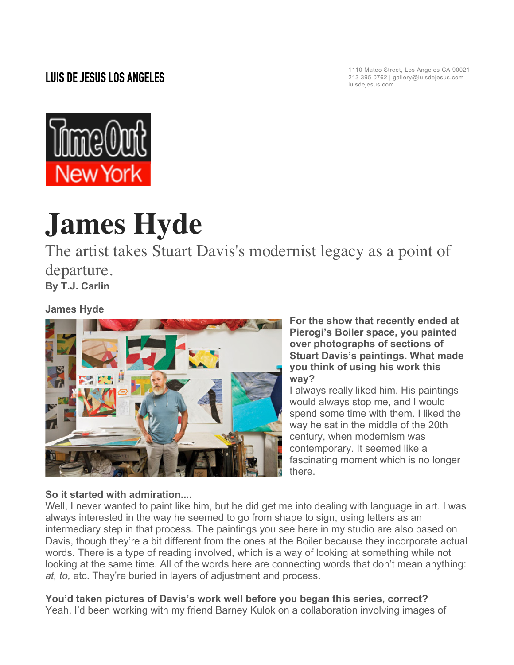# **LUIS DE JESUS LOS ANGELES**

1110 Mateo Street, Los Angeles CA 90021 213 395 0762 | gallery@luisdejesus.com luisdejesus.com



# **James Hyde**

The artist takes Stuart Davis's modernist legacy as a point of departure. **By T.J. Carlin**

## **James Hyde**



**For the show that recently ended at Pierogi's Boiler space, you painted over photographs of sections of Stuart Davis's paintings. What made you think of using his work this way?**

I always really liked him. His paintings would always stop me, and I would spend some time with them. I liked the way he sat in the middle of the 20th century, when modernism was contemporary. It seemed like a fascinating moment which is no longer there.

### **So it started with admiration....**

Well, I never wanted to paint like him, but he did get me into dealing with language in art. I was always interested in the way he seemed to go from shape to sign, using letters as an intermediary step in that process. The paintings you see here in my studio are also based on Davis, though they're a bit different from the ones at the Boiler because they incorporate actual words. There is a type of reading involved, which is a way of looking at something while not looking at the same time. All of the words here are connecting words that don't mean anything: *at, to,* etc. They're buried in layers of adjustment and process.

**You'd taken pictures of Davis's work well before you began this series, correct?** Yeah, I'd been working with my friend Barney Kulok on a collaboration involving images of